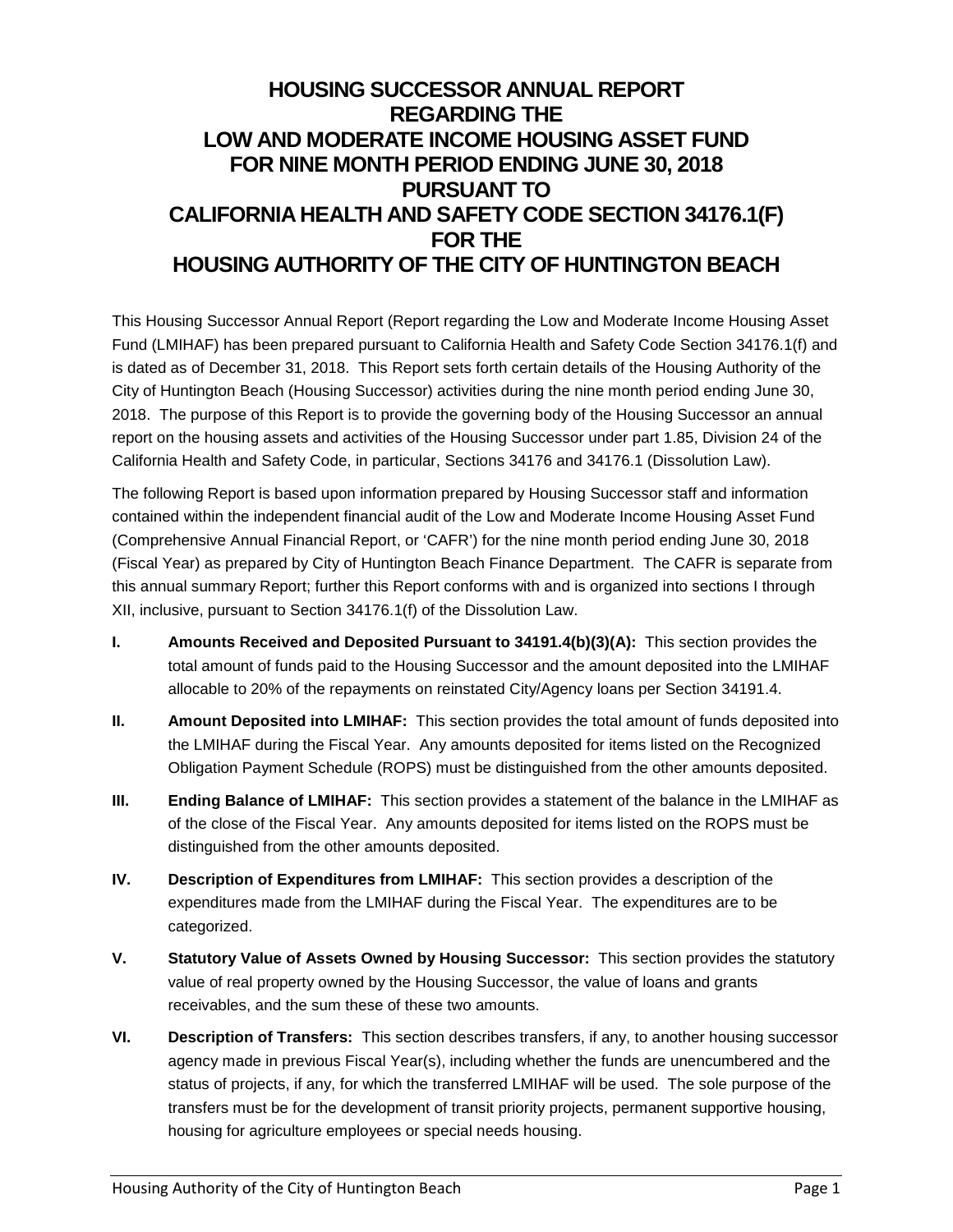# **HOUSING SUCCESSOR ANNUAL REPORT REGARDING THE LOW AND MODERATE INCOME HOUSING ASSET FUND FOR NINE MONTH PERIOD ENDING JUNE 30, 2018 PURSUANT TO CALIFORNIA HEALTH AND SAFETY CODE SECTION 34176.1(F) FOR THE HOUSING AUTHORITY OF THE CITY OF HUNTINGTON BEACH**

This Housing Successor Annual Report (Report regarding the Low and Moderate Income Housing Asset Fund (LMIHAF) has been prepared pursuant to California Health and Safety Code Section 34176.1(f) and is dated as of December 31, 2018. This Report sets forth certain details of the Housing Authority of the City of Huntington Beach (Housing Successor) activities during the nine month period ending June 30, 2018. The purpose of this Report is to provide the governing body of the Housing Successor an annual report on the housing assets and activities of the Housing Successor under part 1.85, Division 24 of the California Health and Safety Code, in particular, Sections 34176 and 34176.1 (Dissolution Law).

The following Report is based upon information prepared by Housing Successor staff and information contained within the independent financial audit of the Low and Moderate Income Housing Asset Fund (Comprehensive Annual Financial Report, or 'CAFR') for the nine month period ending June 30, 2018 (Fiscal Year) as prepared by City of Huntington Beach Finance Department. The CAFR is separate from this annual summary Report; further this Report conforms with and is organized into sections I through XII, inclusive, pursuant to Section 34176.1(f) of the Dissolution Law.

- **I. Amounts Received and Deposited Pursuant to 34191.4(b)(3)(A):** This section provides the total amount of funds paid to the Housing Successor and the amount deposited into the LMIHAF allocable to 20% of the repayments on reinstated City/Agency loans per Section 34191.4.
- **II. Amount Deposited into LMIHAF:** This section provides the total amount of funds deposited into the LMIHAF during the Fiscal Year. Any amounts deposited for items listed on the Recognized Obligation Payment Schedule (ROPS) must be distinguished from the other amounts deposited.
- **III. Ending Balance of LMIHAF:** This section provides a statement of the balance in the LMIHAF as of the close of the Fiscal Year. Any amounts deposited for items listed on the ROPS must be distinguished from the other amounts deposited.
- **IV. Description of Expenditures from LMIHAF:** This section provides a description of the expenditures made from the LMIHAF during the Fiscal Year. The expenditures are to be categorized.
- **V. Statutory Value of Assets Owned by Housing Successor:** This section provides the statutory value of real property owned by the Housing Successor, the value of loans and grants receivables, and the sum these of these two amounts.
- **VI. Description of Transfers:** This section describes transfers, if any, to another housing successor agency made in previous Fiscal Year(s), including whether the funds are unencumbered and the status of projects, if any, for which the transferred LMIHAF will be used. The sole purpose of the transfers must be for the development of transit priority projects, permanent supportive housing, housing for agriculture employees or special needs housing.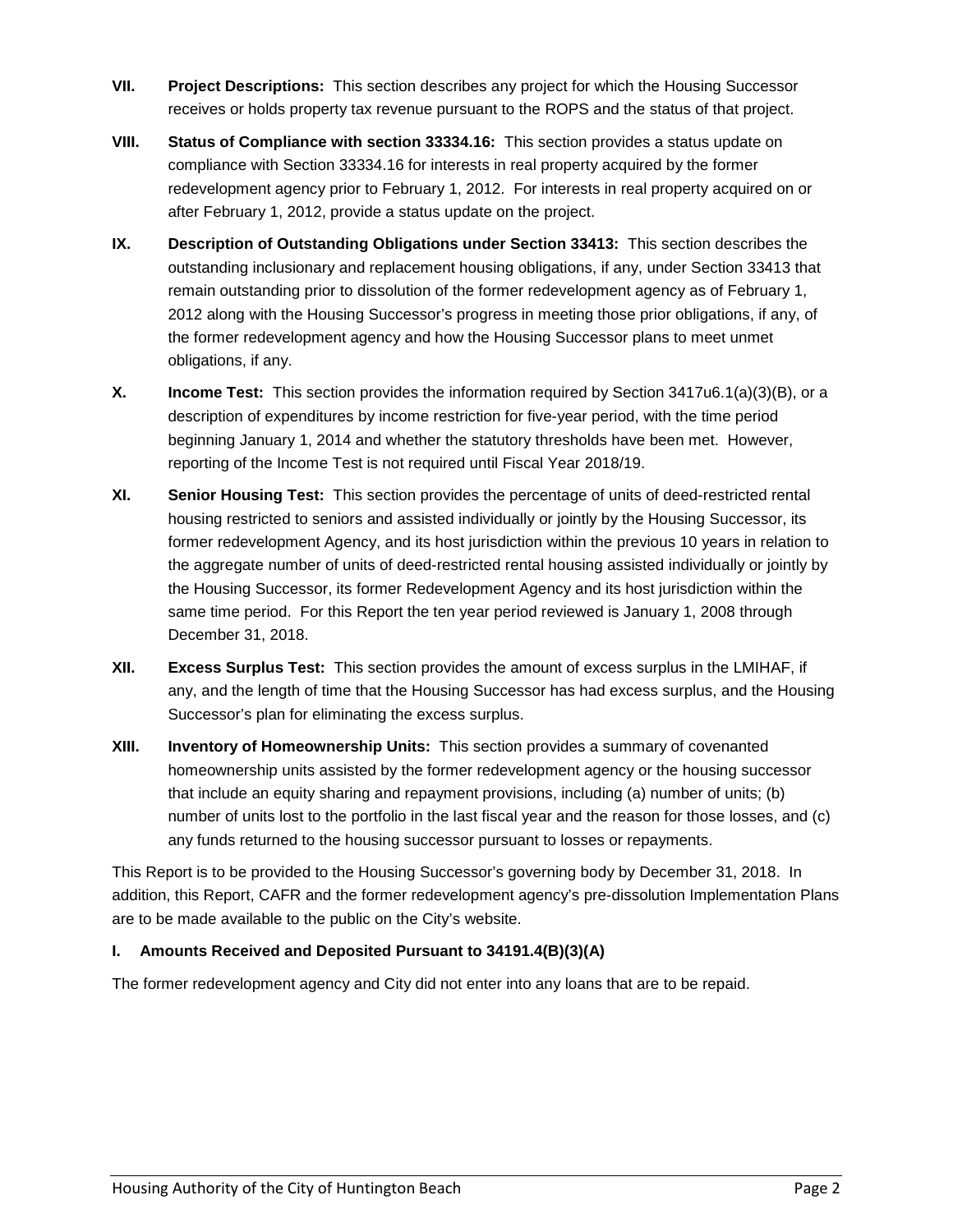- **VII. Project Descriptions:** This section describes any project for which the Housing Successor receives or holds property tax revenue pursuant to the ROPS and the status of that project.
- **VIII. Status of Compliance with section 33334.16:** This section provides a status update on compliance with Section 33334.16 for interests in real property acquired by the former redevelopment agency prior to February 1, 2012. For interests in real property acquired on or after February 1, 2012, provide a status update on the project.
- **IX. Description of Outstanding Obligations under Section 33413:** This section describes the outstanding inclusionary and replacement housing obligations, if any, under Section 33413 that remain outstanding prior to dissolution of the former redevelopment agency as of February 1, 2012 along with the Housing Successor's progress in meeting those prior obligations, if any, of the former redevelopment agency and how the Housing Successor plans to meet unmet obligations, if any.
- **X. Income Test:** This section provides the information required by Section 3417u6.1(a)(3)(B), or a description of expenditures by income restriction for five-year period, with the time period beginning January 1, 2014 and whether the statutory thresholds have been met. However, reporting of the Income Test is not required until Fiscal Year 2018/19.
- **XI. Senior Housing Test:** This section provides the percentage of units of deed-restricted rental housing restricted to seniors and assisted individually or jointly by the Housing Successor, its former redevelopment Agency, and its host jurisdiction within the previous 10 years in relation to the aggregate number of units of deed-restricted rental housing assisted individually or jointly by the Housing Successor, its former Redevelopment Agency and its host jurisdiction within the same time period. For this Report the ten year period reviewed is January 1, 2008 through December 31, 2018.
- **XII. Excess Surplus Test:** This section provides the amount of excess surplus in the LMIHAF, if any, and the length of time that the Housing Successor has had excess surplus, and the Housing Successor's plan for eliminating the excess surplus.
- **XIII. Inventory of Homeownership Units:** This section provides a summary of covenanted homeownership units assisted by the former redevelopment agency or the housing successor that include an equity sharing and repayment provisions, including (a) number of units; (b) number of units lost to the portfolio in the last fiscal year and the reason for those losses, and (c) any funds returned to the housing successor pursuant to losses or repayments.

This Report is to be provided to the Housing Successor's governing body by December 31, 2018. In addition, this Report, CAFR and the former redevelopment agency's pre-dissolution Implementation Plans are to be made available to the public on the City's website.

# **I. Amounts Received and Deposited Pursuant to 34191.4(B)(3)(A)**

The former redevelopment agency and City did not enter into any loans that are to be repaid.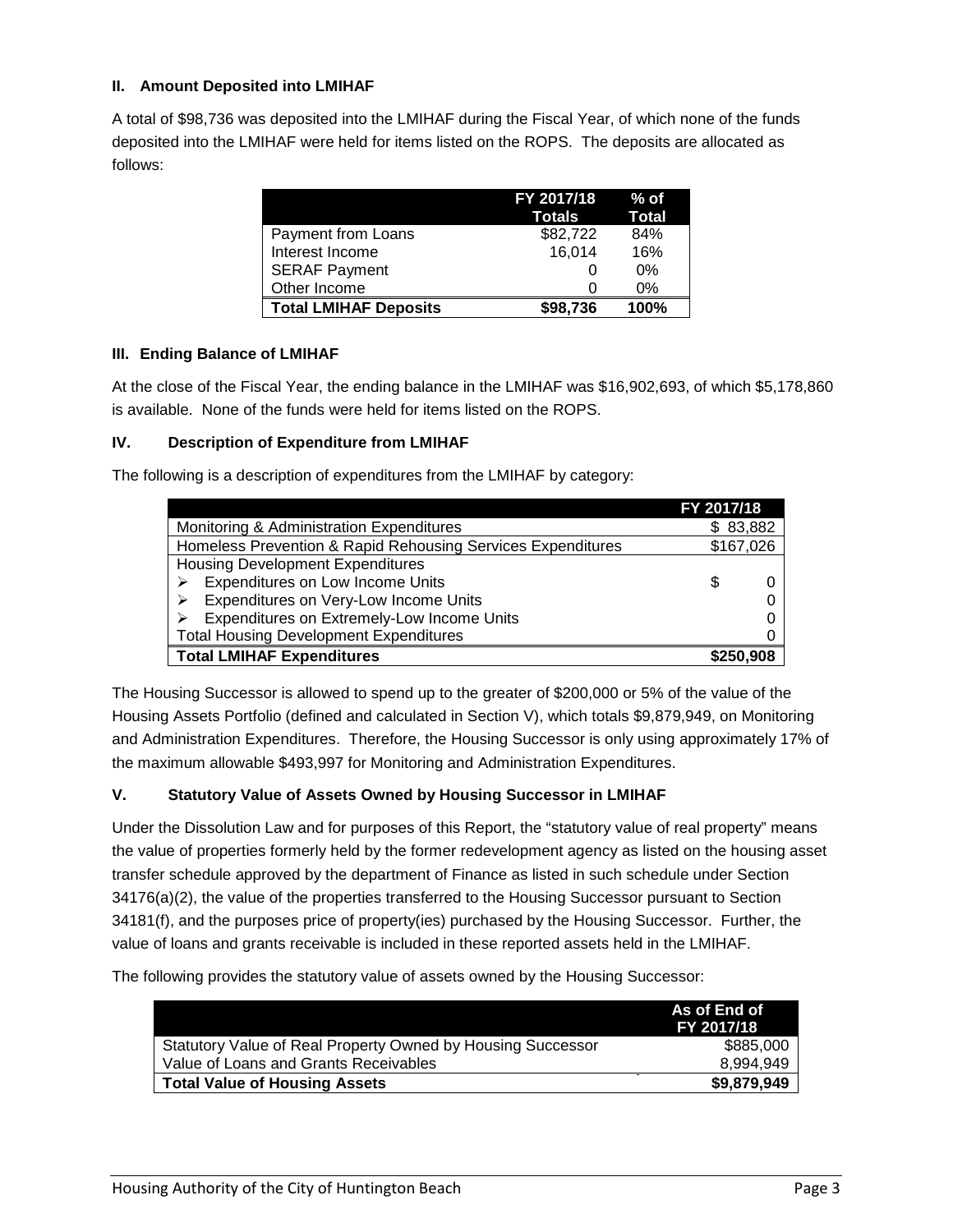#### **II. Amount Deposited into LMIHAF**

A total of \$98,736 was deposited into the LMIHAF during the Fiscal Year, of which none of the funds deposited into the LMIHAF were held for items listed on the ROPS. The deposits are allocated as follows:

|                              | FY 2017/18<br>Totals | $%$ of<br><b>Total</b> |
|------------------------------|----------------------|------------------------|
| Payment from Loans           | \$82,722             | 84%                    |
| Interest Income              | 16,014               | 16%                    |
| <b>SERAF Payment</b>         |                      | 0%                     |
| Other Income                 |                      | 0%                     |
| <b>Total LMIHAF Deposits</b> | \$98,736             | 100%                   |

#### **III. Ending Balance of LMIHAF**

At the close of the Fiscal Year, the ending balance in the LMIHAF was \$16,902,693, of which \$5,178,860 is available. None of the funds were held for items listed on the ROPS.

#### **IV. Description of Expenditure from LMIHAF**

The following is a description of expenditures from the LMIHAF by category:

|                                                             | FY 2017/18 |  |
|-------------------------------------------------------------|------------|--|
| Monitoring & Administration Expenditures                    | \$83,882   |  |
| Homeless Prevention & Rapid Rehousing Services Expenditures | \$167,026  |  |
| <b>Housing Development Expenditures</b>                     |            |  |
| Expenditures on Low Income Units                            | S          |  |
| Expenditures on Very-Low Income Units                       |            |  |
| Expenditures on Extremely-Low Income Units                  |            |  |
| <b>Total Housing Development Expenditures</b>               |            |  |
| <b>Total LMIHAF Expenditures</b>                            | \$250,908  |  |

The Housing Successor is allowed to spend up to the greater of \$200,000 or 5% of the value of the Housing Assets Portfolio (defined and calculated in Section V), which totals \$9,879,949, on Monitoring and Administration Expenditures. Therefore, the Housing Successor is only using approximately 17% of the maximum allowable \$493,997 for Monitoring and Administration Expenditures.

# **V. Statutory Value of Assets Owned by Housing Successor in LMIHAF**

Under the Dissolution Law and for purposes of this Report, the "statutory value of real property" means the value of properties formerly held by the former redevelopment agency as listed on the housing asset transfer schedule approved by the department of Finance as listed in such schedule under Section 34176(a)(2), the value of the properties transferred to the Housing Successor pursuant to Section 34181(f), and the purposes price of property(ies) purchased by the Housing Successor. Further, the value of loans and grants receivable is included in these reported assets held in the LMIHAF.

The following provides the statutory value of assets owned by the Housing Successor:

|                                                             | As of End of<br>FY 2017/18 |
|-------------------------------------------------------------|----------------------------|
| Statutory Value of Real Property Owned by Housing Successor | \$885,000                  |
| Value of Loans and Grants Receivables                       | 8,994,949                  |
| <b>Total Value of Housing Assets</b>                        | \$9,879,949                |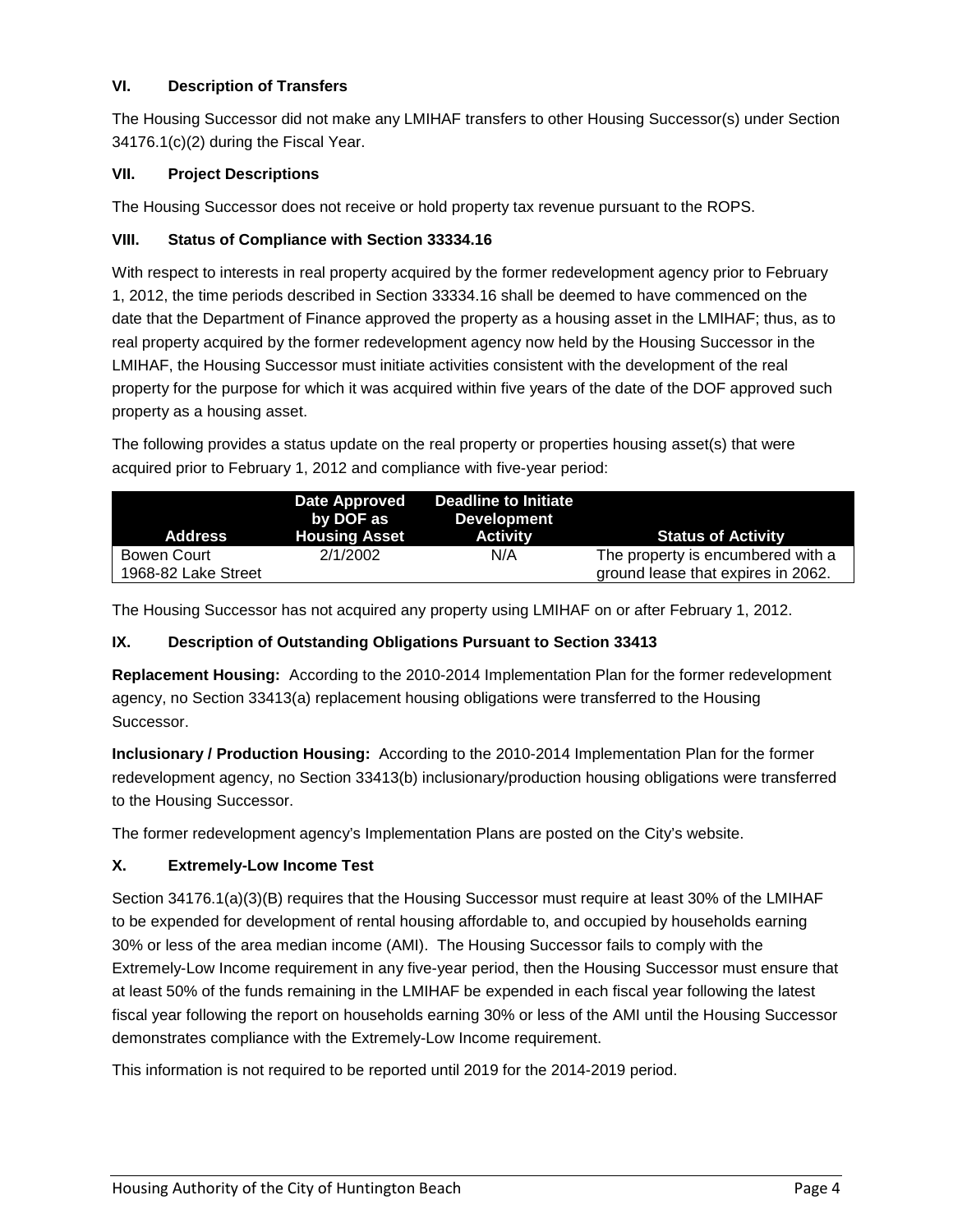# **VI. Description of Transfers**

The Housing Successor did not make any LMIHAF transfers to other Housing Successor(s) under Section 34176.1(c)(2) during the Fiscal Year.

# **VII. Project Descriptions**

The Housing Successor does not receive or hold property tax revenue pursuant to the ROPS.

#### **VIII. Status of Compliance with Section 33334.16**

With respect to interests in real property acquired by the former redevelopment agency prior to February 1, 2012, the time periods described in Section 33334.16 shall be deemed to have commenced on the date that the Department of Finance approved the property as a housing asset in the LMIHAF; thus, as to real property acquired by the former redevelopment agency now held by the Housing Successor in the LMIHAF, the Housing Successor must initiate activities consistent with the development of the real property for the purpose for which it was acquired within five years of the date of the DOF approved such property as a housing asset.

The following provides a status update on the real property or properties housing asset(s) that were acquired prior to February 1, 2012 and compliance with five-year period:

| <b>Address</b>                     | Date Approved<br>by DOF as<br><b>Housing Asset</b> | Deadline to Initiate<br>Development<br><b>Activity</b> | <b>Status of Activity</b>                                               |
|------------------------------------|----------------------------------------------------|--------------------------------------------------------|-------------------------------------------------------------------------|
| Bowen Court<br>1968-82 Lake Street | 2/1/2002                                           | N/A                                                    | The property is encumbered with a<br>ground lease that expires in 2062. |

The Housing Successor has not acquired any property using LMIHAF on or after February 1, 2012.

# **IX. Description of Outstanding Obligations Pursuant to Section 33413**

**Replacement Housing:** According to the 2010-2014 Implementation Plan for the former redevelopment agency, no Section 33413(a) replacement housing obligations were transferred to the Housing Successor.

**Inclusionary / Production Housing:** According to the 2010-2014 Implementation Plan for the former redevelopment agency, no Section 33413(b) inclusionary/production housing obligations were transferred to the Housing Successor.

The former redevelopment agency's Implementation Plans are posted on the City's website.

# **X. Extremely-Low Income Test**

Section 34176.1(a)(3)(B) requires that the Housing Successor must require at least 30% of the LMIHAF to be expended for development of rental housing affordable to, and occupied by households earning 30% or less of the area median income (AMI). The Housing Successor fails to comply with the Extremely-Low Income requirement in any five-year period, then the Housing Successor must ensure that at least 50% of the funds remaining in the LMIHAF be expended in each fiscal year following the latest fiscal year following the report on households earning 30% or less of the AMI until the Housing Successor demonstrates compliance with the Extremely-Low Income requirement.

This information is not required to be reported until 2019 for the 2014-2019 period.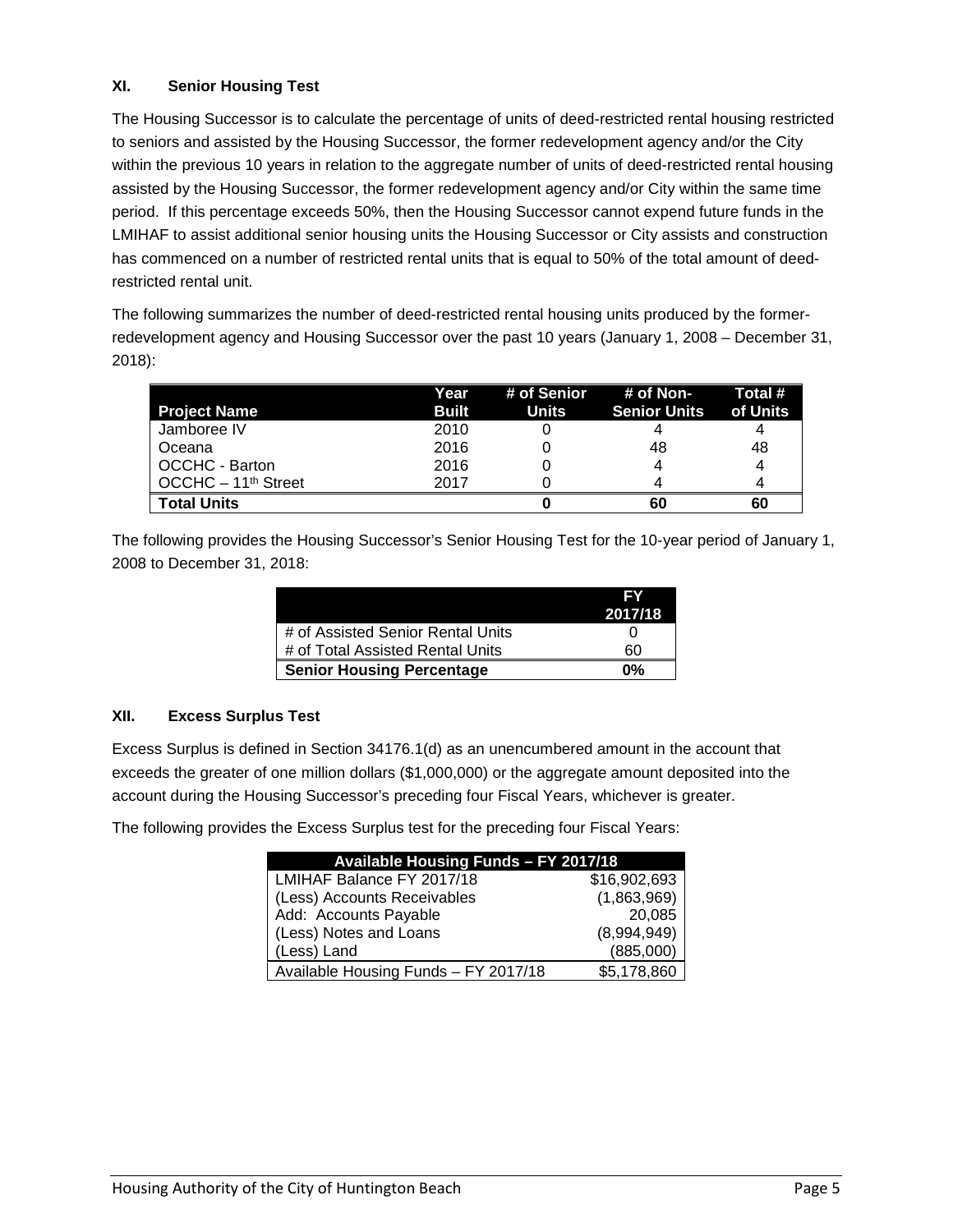# **XI. Senior Housing Test**

The Housing Successor is to calculate the percentage of units of deed-restricted rental housing restricted to seniors and assisted by the Housing Successor, the former redevelopment agency and/or the City within the previous 10 years in relation to the aggregate number of units of deed-restricted rental housing assisted by the Housing Successor, the former redevelopment agency and/or City within the same time period. If this percentage exceeds 50%, then the Housing Successor cannot expend future funds in the LMIHAF to assist additional senior housing units the Housing Successor or City assists and construction has commenced on a number of restricted rental units that is equal to 50% of the total amount of deedrestricted rental unit.

The following summarizes the number of deed-restricted rental housing units produced by the formerredevelopment agency and Housing Successor over the past 10 years (January 1, 2008 – December 31, 2018):

|                       | Year         |       | # of Senior # of Non- | Total #  |
|-----------------------|--------------|-------|-----------------------|----------|
| <b>Project Name</b>   | <b>Built</b> | Units | Senior Units          | of Units |
| Jamboree IV           | 2010         |       |                       |          |
| Oceana                | 2016         |       | 48                    | 48       |
| <b>OCCHC - Barton</b> | 2016         |       |                       | 4        |
| $OCCHC - 11th Street$ | 2017         |       |                       |          |
| <b>Total Units</b>    |              |       | 60                    | 60       |

The following provides the Housing Successor's Senior Housing Test for the 10-year period of January 1, 2008 to December 31, 2018:

|                                   | EV      |
|-----------------------------------|---------|
|                                   | 2017/18 |
| # of Assisted Senior Rental Units |         |
| # of Total Assisted Rental Units  | 60      |
| <b>Senior Housing Percentage</b>  | በ%      |

#### **XII. Excess Surplus Test**

Excess Surplus is defined in Section 34176.1(d) as an unencumbered amount in the account that exceeds the greater of one million dollars (\$1,000,000) or the aggregate amount deposited into the account during the Housing Successor's preceding four Fiscal Years, whichever is greater.

The following provides the Excess Surplus test for the preceding four Fiscal Years:

| Available Housing Funds - FY 2017/18 |              |  |
|--------------------------------------|--------------|--|
| LMIHAF Balance FY 2017/18            | \$16,902,693 |  |
| (Less) Accounts Receivables          | (1,863,969)  |  |
| Add: Accounts Payable                | 20,085       |  |
| (Less) Notes and Loans               | (8,994,949)  |  |
| (Less) Land                          | (885,000)    |  |
| Available Housing Funds - FY 2017/18 | \$5,178,860  |  |